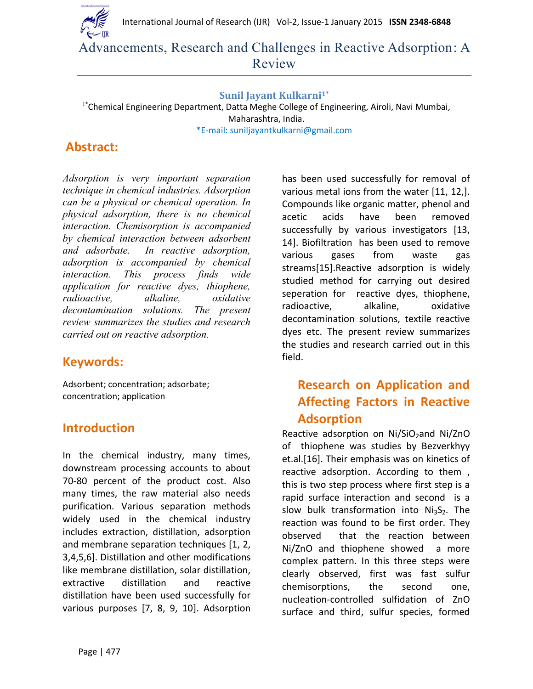International Journal of Research (IJR) Vol-2, Issue-1 January 2015 **ISSN 2348-6848**



Advancements, Research and Challenges in Reactive Adsorption: A Review

#### **Sunil Jayant Kulkarni1\***

<sup>1\*</sup>Chemical Engineering Department, Datta Meghe College of Engineering, Airoli, Navi Mumbai, Maharashtra, India. \*E-mail: suniljayantkulkarni@gmail.com

### **Abstract:**

*Adsorption is very important separation technique in chemical industries. Adsorption can be a physical or chemical operation. In physical adsorption, there is no chemical interaction. Chemisorption is accompanied by chemical interaction between adsorbent and adsorbate. In reactive adsorption, adsorption is accompanied by chemical interaction. This process finds wide application for reactive dyes, thiophene, radioactive, alkaline, oxidative decontamination solutions. The present review summarizes the studies and research carried out on reactive adsorption.*

### **Keywords:**

Adsorbent; concentration; adsorbate; concentration; application

### **Introduction**

In the chemical industry, many times, downstream processing accounts to about 70-80 percent of the product cost. Also many times, the raw material also needs purification. Various separation methods widely used in the chemical industry includes extraction, distillation, adsorption and membrane separation techniques [1, 2, 3,4,5,6]. Distillation and other modifications like membrane distillation, solar distillation, extractive distillation and reactive distillation have been used successfully for various purposes [7, 8, 9, 10]. Adsorption

has been used successfully for removal of various metal ions from the water [11, 12,]. Compounds like organic matter, phenol and acetic acids have been removed successfully by various investigators [13, 14]. Biofiltration has been used to remove various gases from waste gas streams[15].Reactive adsorption is widely studied method for carrying out desired seperation for reactive dyes, thiophene, radioactive, alkaline, oxidative decontamination solutions, textile reactive dyes etc. The present review summarizes the studies and research carried out in this field.

# **Research on Application and Affecting Factors in Reactive Adsorption**

Reactive adsorption on  $Ni/SiO<sub>2</sub>$ and Ni/ZnO of thiophene was studies by Bezverkhyy et.al.[16]. Their emphasis was on kinetics of reactive adsorption. According to them , this is two step process where first step is a rapid surface interaction and second is a slow bulk transformation into  $Ni<sub>3</sub>S<sub>2</sub>$ . The reaction was found to be first order. They observed that the reaction between Ni/ZnO and thiophene showed a more complex pattern. In this three steps were clearly observed, first was fast sulfur chemisorptions, the second one, nucleation-controlled sulfidation of ZnO surface and third, sulfur species, formed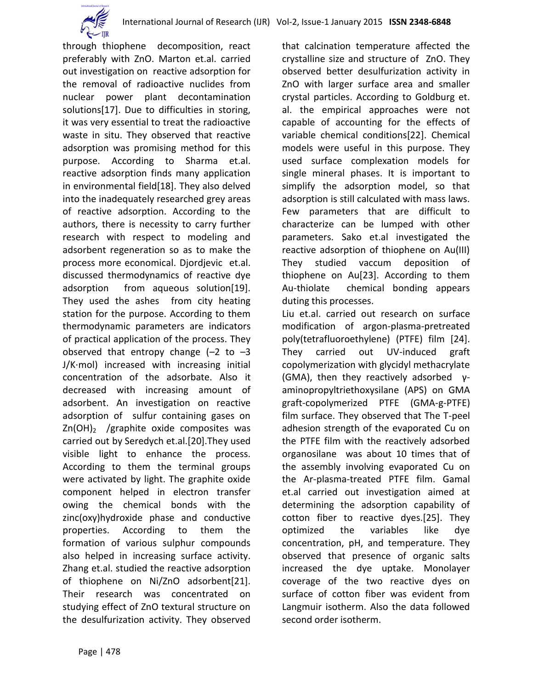

through thiophene decomposition, react preferably with ZnO. Marton et.al. carried out investigation on reactive adsorption for the removal of radioactive nuclides from nuclear power plant decontamination solutions[17]. Due to difficulties in storing, it was very essential to treat the radioactive waste in situ. They observed that reactive adsorption was promising method for this purpose. According to Sharma et.al. reactive adsorption finds many application in environmental field[18]. They also delved into the inadequately researched grey areas of reactive adsorption. According to the authors, there is necessity to carry further research with respect to modeling and adsorbent regeneration so as to make the process more economical. Djordjevic et.al. discussed thermodynamics of reactive dye adsorption from aqueous solution[19]. They used the ashes from city heating station for the purpose. According to them thermodynamic parameters are indicators of practical application of the process. They observed that entropy change  $(-2)$  to  $-3$ J/K·mol) increased with increasing initial concentration of the adsorbate. Also it decreased with increasing amount of adsorbent. An investigation on reactive adsorption of sulfur containing gases on  $Zn(OH)$ <sub>2</sub> /graphite oxide composites was carried out by Seredych et.al.[20].They used visible light to enhance the process. According to them the terminal groups were activated by light. The graphite oxide component helped in electron transfer owing the chemical bonds with the zinc(oxy)hydroxide phase and conductive properties. According to them the formation of various sulphur compounds also helped in increasing surface activity. Zhang et.al. studied the reactive adsorption of thiophene on Ni/ZnO adsorbent[21]. Their research was concentrated on studying effect of ZnO textural structure on the desulfurization activity. They observed

Page | 478

that calcination temperature affected the crystalline size and structure of ZnO. They observed better desulfurization activity in ZnO with larger surface area and smaller crystal particles. According to Goldburg et. al. the empirical approaches were not capable of accounting for the effects of variable chemical conditions[22]. Chemical models were useful in this purpose. They used surface complexation models for single mineral phases. It is important to simplify the adsorption model, so that adsorption is still calculated with mass laws. Few parameters that are difficult to characterize can be lumped with other parameters. Sako et.al investigated the reactive adsorption of thiophene on Au(III) They studied vaccum deposition of thiophene on Au[23]. According to them Au-thiolate chemical bonding appears duting this processes.

Liu et.al. carried out research on surface modification of argon-plasma-pretreated poly(tetrafluoroethylene) (PTFE) film [24]. They carried out UV-induced graft copolymerization with glycidyl methacrylate (GMA), then they reactively adsorbed γaminopropyltriethoxysilane (APS) on GMA graft-copolymerized PTFE (GMA-g-PTFE) film surface. They observed that The T-peel adhesion strength of the evaporated Cu on the PTFE film with the reactively adsorbed organosilane was about 10 times that of the assembly involving evaporated Cu on the Ar-plasma-treated PTFE film. Gamal et.al carried out investigation aimed at determining the adsorption capability of cotton fiber to reactive dyes.[25]. They optimized the variables like dye concentration, pH, and temperature. They observed that presence of organic salts increased the dye uptake. Monolayer coverage of the two reactive dyes on surface of cotton fiber was evident from Langmuir isotherm. Also the data followed second order isotherm.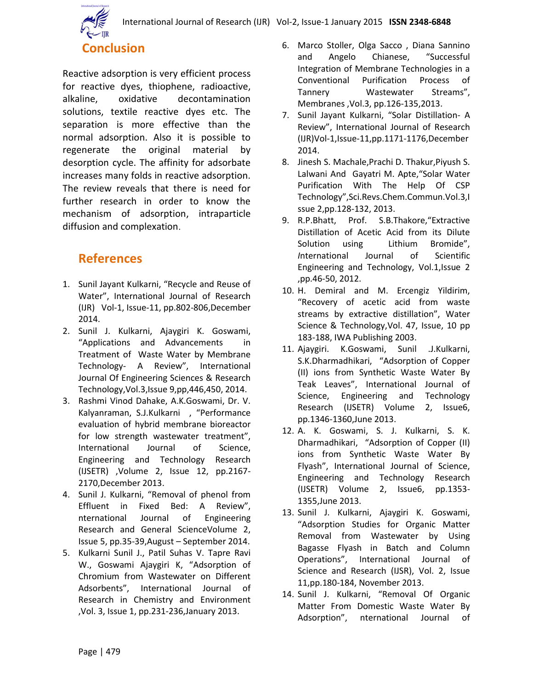

Reactive adsorption is very efficient process for reactive dyes, thiophene, radioactive, alkaline, oxidative decontamination solutions, textile reactive dyes etc. The separation is more effective than the normal adsorption. Also it is possible to regenerate the original material by desorption cycle. The affinity for adsorbate increases many folds in reactive adsorption. The review reveals that there is need for further research in order to know the mechanism of adsorption, intraparticle diffusion and complexation.

# **References**

- 1. Sunil Jayant Kulkarni, "Recycle and Reuse of Water", International Journal of Research (IJR) Vol-1, Issue-11, pp.802-806,December 2014.
- 2. Sunil J. Kulkarni, Ajaygiri K. Goswami, "Applications and Advancements in Treatment of Waste Water by Membrane Technology- A Review", International Journal Of Engineering Sciences & Research Technology,Vol.3,Issue 9,pp,446,450, 2014.
- 3. Rashmi Vinod Dahake, A.K.Goswami, Dr. V. Kalyanraman, S.J.Kulkarni , "Performance evaluation of hybrid membrane bioreactor for low strength wastewater treatment", International Journal of Science, Engineering and Technology Research (IJSETR) ,Volume 2, Issue 12, pp.2167- 2170,December 2013.
- 4. Sunil J. Kulkarni, "Removal of phenol from Effluent in Fixed Bed: A Review", nternational Journal of Engineering Research and General ScienceVolume 2, Issue 5, pp.35-39,August – September 2014.
- 5. Kulkarni Sunil J., Patil Suhas V. Tapre Ravi W., Goswami Ajaygiri K, "Adsorption of Chromium from Wastewater on Different Adsorbents", International Journal of Research in Chemistry and Environment ,Vol. 3, Issue 1, pp.231-236,January 2013.
- 6. Marco Stoller, Olga Sacco , Diana Sannino and Angelo Chianese, "Successful Integration of Membrane Technologies in a Conventional Purification Process of Tannery Wastewater Streams", Membranes ,Vol.3, pp.126-135,2013.
- 7. Sunil Jayant Kulkarni, "Solar Distillation- A Review", International Journal of Research (IJR)Vol-1,Issue-11,pp.1171-1176,December 2014.
- 8. Jinesh S. Machale,Prachi D. Thakur,Piyush S. Lalwani And Gayatri M. Apte,"Solar Water Purification With The Help Of CSP Technology",Sci.Revs.Chem.Commun.Vol.3,I ssue 2,pp.128-132, 2013.
- 9. R.P.Bhatt, Prof. S.B.Thakore,"Extractive Distillation of Acetic Acid from its Dilute Solution using Lithium Bromide", *I*nternational Journal of Scientific Engineering and Technology, Vol.1,Issue 2 ,pp.46-50, 2012.
- 10. H. Demiral and M. Ercengiz Yildirim, "Recovery of acetic acid from waste streams by extractive distillation", Water Science & Technology,Vol. 47, Issue, 10 pp 183-188, IWA Publishing 2003.
- 11. Ajaygiri. K.Goswami, Sunil .J.Kulkarni, S.K.Dharmadhikari, "Adsorption of Copper (II) ions from Synthetic Waste Water By Teak Leaves", International Journal of Science, Engineering and Technology Research (IJSETR) Volume 2, Issue6, pp.1346-1360,June 2013.
- 12. A. K. Goswami, S. J. Kulkarni, S. K. Dharmadhikari, "Adsorption of Copper (II) ions from Synthetic Waste Water By Flyash", International Journal of Science, Engineering and Technology Research (IJSETR) Volume 2, Issue6, pp.1353- 1355,June 2013.
- 13. Sunil J. Kulkarni, Ajaygiri K. Goswami, "Adsorption Studies for Organic Matter Removal from Wastewater by Using Bagasse Flyash in Batch and Column Operations", International Journal of Science and Research (IJSR), Vol. 2, Issue 11,pp.180-184, November 2013.
- 14. Sunil J. Kulkarni, "Removal Of Organic Matter From Domestic Waste Water By Adsorption", nternational Journal of